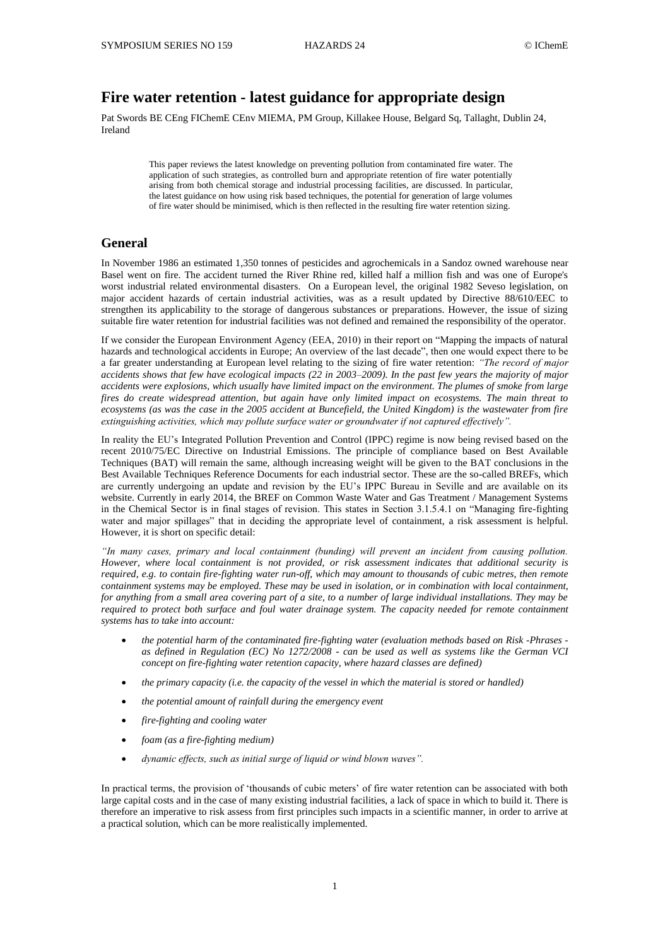# **Fire water retention - latest guidance for appropriate design**

Pat Swords BE CEng FIChemE CEnv MIEMA, PM Group, Killakee House, Belgard Sq, Tallaght, Dublin 24, Ireland

> This paper reviews the latest knowledge on preventing pollution from contaminated fire water. The application of such strategies, as controlled burn and appropriate retention of fire water potentially arising from both chemical storage and industrial processing facilities, are discussed. In particular, the latest guidance on how using risk based techniques, the potential for generation of large volumes of fire water should be minimised, which is then reflected in the resulting fire water retention sizing.

## **General**

In November 1986 an estimated 1,350 tonnes of pesticides and agrochemicals in a Sandoz owned warehouse near Basel went on fire. The accident turned the River Rhine red, killed half a million fish and was one of Europe's worst industrial related environmental disasters. On a European level, the original 1982 Seveso legislation, on major accident hazards of certain industrial activities, was as a result updated by Directive 88/610/EEC to strengthen its applicability to the storage of dangerous substances or preparations. However, the issue of sizing suitable fire water retention for industrial facilities was not defined and remained the responsibility of the operator.

If we consider the European Environment Agency (EEA, 2010) in their report on "Mapping the impacts of natural hazards and technological accidents in Europe; An overview of the last decade", then one would expect there to be a far greater understanding at European level relating to the sizing of fire water retention: *"The record of major accidents shows that few have ecological impacts (22 in 2003–2009). In the past few years the majority of major accidents were explosions, which usually have limited impact on the environment. The plumes of smoke from large fires do create widespread attention, but again have only limited impact on ecosystems. The main threat to ecosystems (as was the case in the 2005 accident at Buncefield, the United Kingdom) is the wastewater from fire extinguishing activities, which may pollute surface water or groundwater if not captured effectively".*

In reality the EU's Integrated Pollution Prevention and Control (IPPC) regime is now being revised based on the recent 2010/75/EC Directive on Industrial Emissions. The principle of compliance based on Best Available Techniques (BAT) will remain the same, although increasing weight will be given to the BAT conclusions in the Best Available Techniques Reference Documents for each industrial sector. These are the so-called BREFs, which are currently undergoing an update and revision by the EU's IPPC Bureau in Seville and are available on its website. Currently in early 2014, the BREF on Common Waste Water and Gas Treatment / Management Systems in the Chemical Sector is in final stages of revision. This states in Section 3.1.5.4.1 on "Managing fire-fighting water and major spillages" that in deciding the appropriate level of containment, a risk assessment is helpful. However, it is short on specific detail:

*"In many cases, primary and local containment (bunding) will prevent an incident from causing pollution. However, where local containment is not provided, or risk assessment indicates that additional security is required, e.g. to contain fire-fighting water run-off, which may amount to thousands of cubic metres, then remote containment systems may be employed. These may be used in isolation, or in combination with local containment, for anything from a small area covering part of a site, to a number of large individual installations. They may be required to protect both surface and foul water drainage system. The capacity needed for remote containment systems has to take into account:*

- *the potential harm of the contaminated fire-fighting water (evaluation methods based on Risk -Phrases as defined in Regulation (EC) No 1272/2008 - can be used as well as systems like the German VCI concept on fire-fighting water retention capacity, where hazard classes are defined)*
- *the primary capacity (i.e. the capacity of the vessel in which the material is stored or handled)*
- *the potential amount of rainfall during the emergency event*
- *fire-fighting and cooling water*
- *foam (as a fire-fighting medium)*
- *dynamic effects, such as initial surge of liquid or wind blown waves".*

In practical terms, the provision of 'thousands of cubic meters' of fire water retention can be associated with both large capital costs and in the case of many existing industrial facilities, a lack of space in which to build it. There is therefore an imperative to risk assess from first principles such impacts in a scientific manner, in order to arrive at a practical solution, which can be more realistically implemented.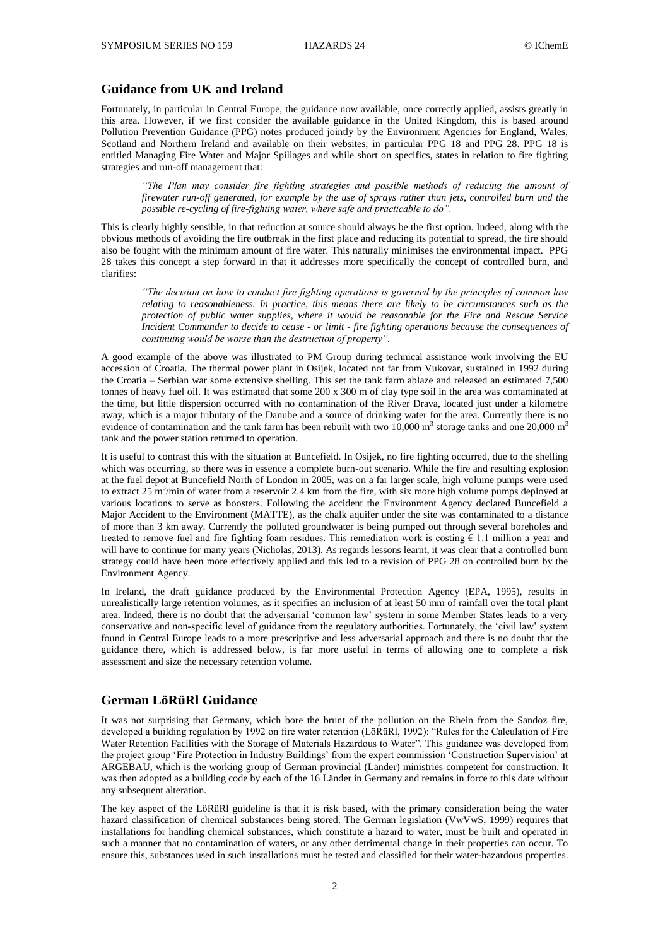## **Guidance from UK and Ireland**

Fortunately, in particular in Central Europe, the guidance now available, once correctly applied, assists greatly in this area. However, if we first consider the available guidance in the United Kingdom, this is based around Pollution Prevention Guidance (PPG) notes produced jointly by the Environment Agencies for England, Wales, Scotland and Northern Ireland and available on their websites, in particular PPG 18 and PPG 28. PPG 18 is entitled Managing Fire Water and Major Spillages and while short on specifics, states in relation to fire fighting strategies and run-off management that:

*"The Plan may consider fire fighting strategies and possible methods of reducing the amount of firewater run-off generated, for example by the use of sprays rather than jets, controlled burn and the possible re-cycling of fire-fighting water, where safe and practicable to do".*

This is clearly highly sensible, in that reduction at source should always be the first option. Indeed, along with the obvious methods of avoiding the fire outbreak in the first place and reducing its potential to spread, the fire should also be fought with the minimum amount of fire water. This naturally minimises the environmental impact. PPG 28 takes this concept a step forward in that it addresses more specifically the concept of controlled burn, and clarifies:

*"The decision on how to conduct fire fighting operations is governed by the principles of common law relating to reasonableness. In practice, this means there are likely to be circumstances such as the protection of public water supplies, where it would be reasonable for the Fire and Rescue Service Incident Commander to decide to cease - or limit - fire fighting operations because the consequences of continuing would be worse than the destruction of property".*

A good example of the above was illustrated to PM Group during technical assistance work involving the EU accession of Croatia. The thermal power plant in Osijek, located not far from Vukovar, sustained in 1992 during the Croatia – Serbian war some extensive shelling. This set the tank farm ablaze and released an estimated 7,500 tonnes of heavy fuel oil. It was estimated that some 200 x 300 m of clay type soil in the area was contaminated at the time, but little dispersion occurred with no contamination of the River Drava, located just under a kilometre away, which is a major tributary of the Danube and a source of drinking water for the area. Currently there is no evidence of contamination and the tank farm has been rebuilt with two 10,000 m<sup>3</sup> storage tanks and one 20,000 m<sup>3</sup> tank and the power station returned to operation.

It is useful to contrast this with the situation at Buncefield. In Osijek, no fire fighting occurred, due to the shelling which was occurring, so there was in essence a complete burn-out scenario. While the fire and resulting explosion at the fuel depot at Buncefield North of London in 2005, was on a far larger scale, high volume pumps were used to extract 25 m<sup>3</sup>/min of water from a reservoir 2.4 km from the fire, with six more high volume pumps deployed at various locations to serve as boosters. Following the accident the Environment Agency declared Buncefield a Major Accident to the Environment (MATTE), as the chalk aquifer under the site was contaminated to a distance of more than 3 km away. Currently the polluted groundwater is being pumped out through several boreholes and treated to remove fuel and fire fighting foam residues. This remediation work is costing € 1.1 million a year and will have to continue for many years (Nicholas, 2013). As regards lessons learnt, it was clear that a controlled burn strategy could have been more effectively applied and this led to a revision of PPG 28 on controlled burn by the Environment Agency.

In Ireland, the draft guidance produced by the Environmental Protection Agency (EPA, 1995), results in unrealistically large retention volumes, as it specifies an inclusion of at least 50 mm of rainfall over the total plant area. Indeed, there is no doubt that the adversarial 'common law' system in some Member States leads to a very conservative and non-specific level of guidance from the regulatory authorities. Fortunately, the 'civil law' system found in Central Europe leads to a more prescriptive and less adversarial approach and there is no doubt that the guidance there, which is addressed below, is far more useful in terms of allowing one to complete a risk assessment and size the necessary retention volume.

# **German LöRüRl Guidance**

It was not surprising that Germany, which bore the brunt of the pollution on the Rhein from the Sandoz fire, developed a building regulation by 1992 on fire water retention (LöRüRl, 1992): "Rules for the Calculation of Fire Water Retention Facilities with the Storage of Materials Hazardous to Water". This guidance was developed from the project group 'Fire Protection in Industry Buildings' from the expert commission 'Construction Supervision' at ARGEBAU, which is the working group of German provincial (Länder) ministries competent for construction. It was then adopted as a building code by each of the 16 Länder in Germany and remains in force to this date without any subsequent alteration.

The key aspect of the LöRüRl guideline is that it is risk based, with the primary consideration being the water hazard classification of chemical substances being stored. The German legislation (VwVwS, 1999) requires that installations for handling chemical substances, which constitute a hazard to water, must be built and operated in such a manner that no contamination of waters, or any other detrimental change in their properties can occur. To ensure this, substances used in such installations must be tested and classified for their water-hazardous properties.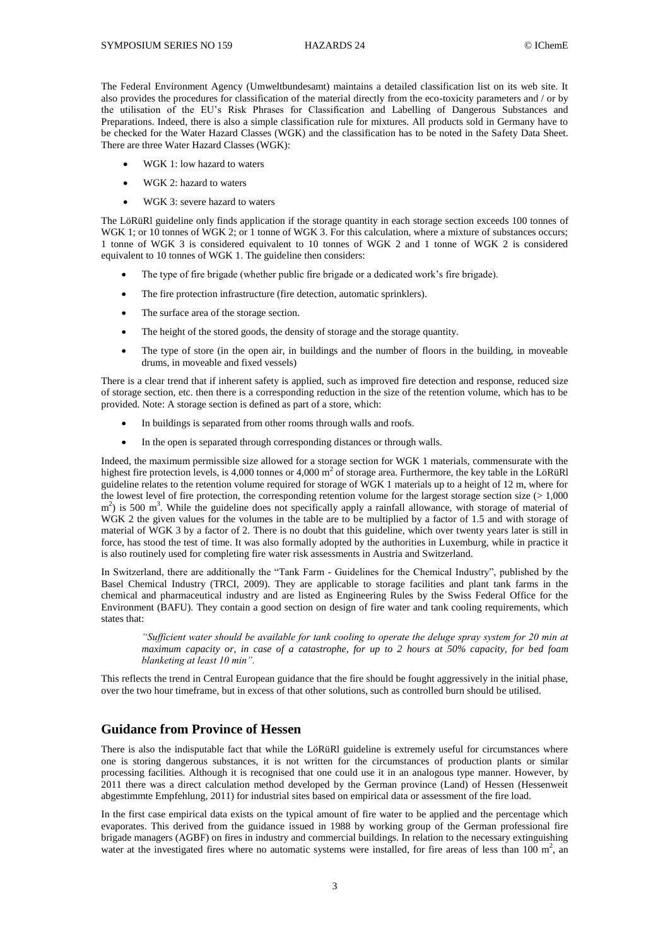The Federal Environment Agency (Umweltbundesamt) maintains a detailed classification list on its web site. It also provides the procedures for classification of the material directly from the eco-toxicity parameters and / or by the utilisation of the EU's Risk Phrases for Classification and Labelling of Dangerous Substances and Preparations. Indeed, there is also a simple classification rule for mixtures. All products sold in Germany have to be checked for the Water Hazard Classes (WGK) and the classification has to be noted in the Safety Data Sheet. There are three Water Hazard Classes (WGK):

- WGK 1: low hazard to waters
- WGK 2: hazard to waters
- WGK 3: severe hazard to waters

The LöRüRl guideline only finds application if the storage quantity in each storage section exceeds 100 tonnes of WGK 1; or 10 tonnes of WGK 2; or 1 tonne of WGK 3. For this calculation, where a mixture of substances occurs; 1 tonne of WGK 3 is considered equivalent to 10 tonnes of WGK 2 and 1 tonne of WGK 2 is considered equivalent to 10 tonnes of WGK 1. The guideline then considers:

- The type of fire brigade (whether public fire brigade or a dedicated work's fire brigade).
- The fire protection infrastructure (fire detection, automatic sprinklers).
- The surface area of the storage section.
- The height of the stored goods, the density of storage and the storage quantity.
- The type of store (in the open air, in buildings and the number of floors in the building, in moveable drums, in moveable and fixed vessels)

There is a clear trend that if inherent safety is applied, such as improved fire detection and response, reduced size of storage section, etc. then there is a corresponding reduction in the size of the retention volume, which has to be provided. Note: A storage section is defined as part of a store, which:

- In buildings is separated from other rooms through walls and roofs.
- In the open is separated through corresponding distances or through walls.

Indeed, the maximum permissible size allowed for a storage section for WGK 1 materials, commensurate with the highest fire protection levels, is 4,000 tonnes or 4,000  $m^2$  of storage area. Furthermore, the key table in the LöRüRl guideline relates to the retention volume required for storage of WGK 1 materials up to a height of 12 m, where for the lowest level of fire protection, the corresponding retention volume for the largest storage section size  $(>1,000)$  $\text{m}^2$ ) is 500 m<sup>3</sup>. While the guideline does not specifically apply a rainfall allowance, with storage of material of WGK 2 the given values for the volumes in the table are to be multiplied by a factor of 1.5 and with storage of material of WGK 3 by a factor of 2. There is no doubt that this guideline, which over twenty years later is still in force, has stood the test of time. It was also formally adopted by the authorities in Luxemburg, while in practice it is also routinely used for completing fire water risk assessments in Austria and Switzerland.

In Switzerland, there are additionally the "Tank Farm - Guidelines for the Chemical Industry", published by the Basel Chemical Industry (TRCI, 2009). They are applicable to storage facilities and plant tank farms in the chemical and pharmaceutical industry and are listed as Engineering Rules by the Swiss Federal Office for the Environment (BAFU). They contain a good section on design of fire water and tank cooling requirements, which states that:

*"Sufficient water should be available for tank cooling to operate the deluge spray system for 20 min at maximum capacity or, in case of a catastrophe, for up to 2 hours at 50% capacity, for bed foam blanketing at least 10 min".*

This reflects the trend in Central European guidance that the fire should be fought aggressively in the initial phase, over the two hour timeframe, but in excess of that other solutions, such as controlled burn should be utilised.

## **Guidance from Province of Hessen**

There is also the indisputable fact that while the LöRüRl guideline is extremely useful for circumstances where one is storing dangerous substances, it is not written for the circumstances of production plants or similar processing facilities. Although it is recognised that one could use it in an analogous type manner. However, by 2011 there was a direct calculation method developed by the German province (Land) of Hessen (Hessenweit abgestimmte Empfehlung, 2011) for industrial sites based on empirical data or assessment of the fire load.

In the first case empirical data exists on the typical amount of fire water to be applied and the percentage which evaporates. This derived from the guidance issued in 1988 by working group of the German professional fire brigade managers (AGBF) on fires in industry and commercial buildings. In relation to the necessary extinguishing water at the investigated fires where no automatic systems were installed, for fire areas of less than 100  $\text{m}^2$ , an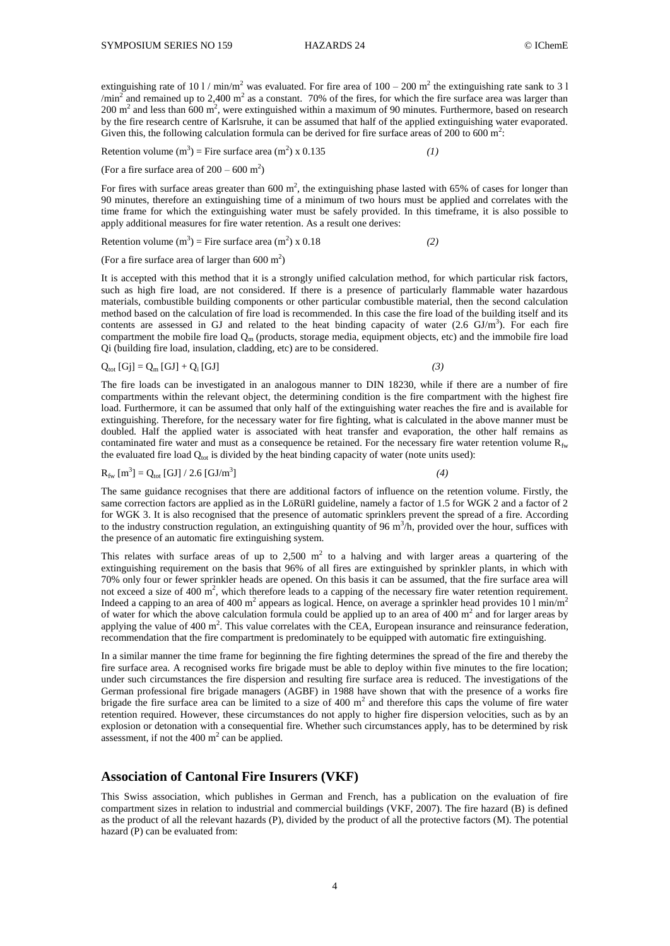extinguishing rate of 10 1 / min/m<sup>2</sup> was evaluated. For fire area of  $100 - 200$  m<sup>2</sup> the extinguishing rate sank to 3 1  $\gamma$ min<sup>2</sup> and remained up to 2,400 m<sup>2</sup> as a constant. 70% of the fires, for which the fire surface area was larger than 200 m<sup>2</sup> and less than 600 m<sup>2</sup>, were extinguished within a maximum of 90 minutes. Furthermore, based on research by the fire research centre of Karlsruhe, it can be assumed that half of the applied extinguishing water evaporated. Given this, the following calculation formula can be derived for fire surface areas of 200 to 600  $m^2$ .

Retention volume  $(m^3)$  = Fire surface area  $(m^2)$  x 0.135 *(1)* 

(For a fire surface area of  $200 - 600$  m<sup>2</sup>)

For fires with surface areas greater than  $600 \text{ m}^2$ , the extinguishing phase lasted with  $65\%$  of cases for longer than 90 minutes, therefore an extinguishing time of a minimum of two hours must be applied and correlates with the time frame for which the extinguishing water must be safely provided. In this timeframe, it is also possible to apply additional measures for fire water retention. As a result one derives:

Retention volume  $(m^3)$  = Fire surface area  $(m^2)$  x 0.18 *(2)* 

(For a fire surface area of larger than  $600 \text{ m}^2$ )

It is accepted with this method that it is a strongly unified calculation method, for which particular risk factors, such as high fire load, are not considered. If there is a presence of particularly flammable water hazardous materials, combustible building components or other particular combustible material, then the second calculation method based on the calculation of fire load is recommended. In this case the fire load of the building itself and its contents are assessed in GJ and related to the heat binding capacity of water  $(2.6 \text{ GJ/m}^3)$ . For each fire compartment the mobile fire load  $Q_m$  (products, storage media, equipment objects, etc) and the immobile fire load Qi (building fire load, insulation, cladding, etc) are to be considered.

$$
Q_{\text{tot}}[Gj] = Q_{\text{m}}[GJ] + Q_{i}[GJ] \tag{3}
$$

The fire loads can be investigated in an analogous manner to DIN 18230, while if there are a number of fire compartments within the relevant object, the determining condition is the fire compartment with the highest fire load. Furthermore, it can be assumed that only half of the extinguishing water reaches the fire and is available for extinguishing. Therefore, for the necessary water for fire fighting, what is calculated in the above manner must be doubled. Half the applied water is associated with heat transfer and evaporation, the other half remains as contaminated fire water and must as a consequence be retained. For the necessary fire water retention volume  $R_{fw}$ the evaluated fire load  $Q<sub>tot</sub>$  is divided by the heat binding capacity of water (note units used):

$$
R_{\text{fw}}[m^3] = Q_{\text{tot}}[GJ] / 2.6 [GJ/m^3]
$$
 (4)

The same guidance recognises that there are additional factors of influence on the retention volume. Firstly, the same correction factors are applied as in the LöRüRl guideline, namely a factor of 1.5 for WGK 2 and a factor of 2 for WGK 3. It is also recognised that the presence of automatic sprinklers prevent the spread of a fire. According to the industry construction regulation, an extinguishing quantity of 96 m<sup>3</sup>/h, provided over the hour, suffices with the presence of an automatic fire extinguishing system.

This relates with surface areas of up to  $2,500 \text{ m}^2$  to a halving and with larger areas a quartering of the extinguishing requirement on the basis that 96% of all fires are extinguished by sprinkler plants, in which with 70% only four or fewer sprinkler heads are opened. On this basis it can be assumed, that the fire surface area will not exceed a size of 400  $\text{m}^2$ , which therefore leads to a capping of the necessary fire water retention requirement. Indeed a capping to an area of 400 m<sup>2</sup> appears as logical. Hence, on average a sprinkler head provides 10 l min/m<sup>2</sup> of water for which the above calculation formula could be applied up to an area of  $400 \text{ m}^2$  and for larger areas by applying the value of 400  $\text{m}^2$ . This value correlates with the CEA, European insurance and reinsurance federation, recommendation that the fire compartment is predominately to be equipped with automatic fire extinguishing.

In a similar manner the time frame for beginning the fire fighting determines the spread of the fire and thereby the fire surface area. A recognised works fire brigade must be able to deploy within five minutes to the fire location; under such circumstances the fire dispersion and resulting fire surface area is reduced. The investigations of the German professional fire brigade managers (AGBF) in 1988 have shown that with the presence of a works fire brigade the fire surface area can be limited to a size of 400  $m<sup>2</sup>$  and therefore this caps the volume of fire water retention required. However, these circumstances do not apply to higher fire dispersion velocities, such as by an explosion or detonation with a consequential fire. Whether such circumstances apply, has to be determined by risk assessment, if not the  $400 \text{ m}^2$  can be applied.

#### **Association of Cantonal Fire Insurers (VKF)**

This Swiss association, which publishes in German and French, has a publication on the evaluation of fire compartment sizes in relation to industrial and commercial buildings (VKF, 2007). The fire hazard (B) is defined as the product of all the relevant hazards (P), divided by the product of all the protective factors (M). The potential hazard (P) can be evaluated from: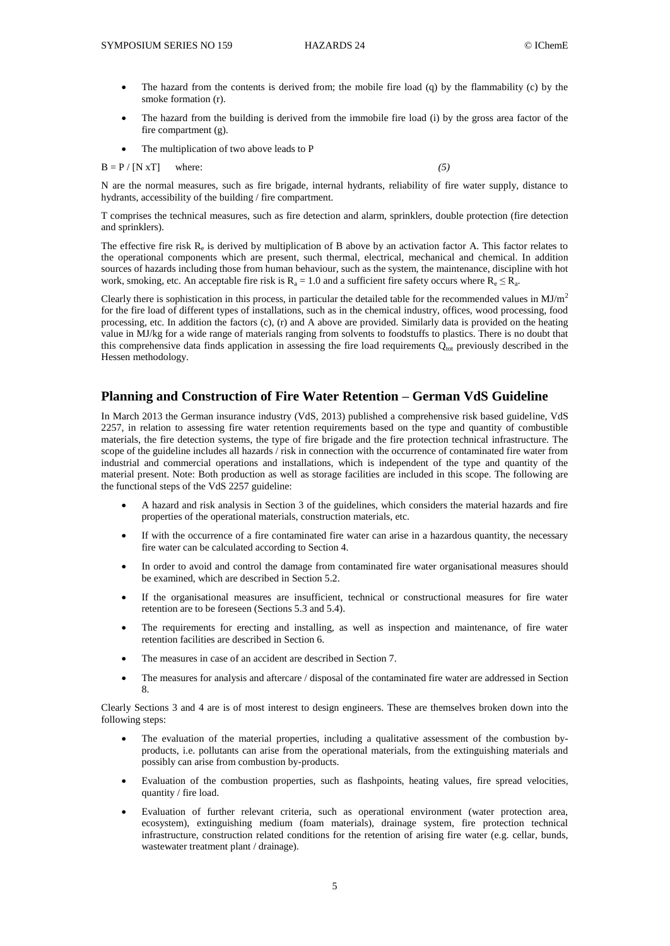- The hazard from the contents is derived from; the mobile fire load (q) by the flammability (c) by the smoke formation (r).
- The hazard from the building is derived from the immobile fire load (i) by the gross area factor of the fire compartment (g).
- The multiplication of two above leads to P

 $B = P / [N xT]$  where: (5)

N are the normal measures, such as fire brigade, internal hydrants, reliability of fire water supply, distance to hydrants, accessibility of the building / fire compartment.

T comprises the technical measures, such as fire detection and alarm, sprinklers, double protection (fire detection and sprinklers).

The effective fire risk  $R_e$  is derived by multiplication of B above by an activation factor A. This factor relates to the operational components which are present, such thermal, electrical, mechanical and chemical. In addition sources of hazards including those from human behaviour, such as the system, the maintenance, discipline with hot work, smoking, etc. An acceptable fire risk is  $R_a = 1.0$  and a sufficient fire safety occurs where  $R_e \le R_a$ .

Clearly there is sophistication in this process, in particular the detailed table for the recommended values in  $MJ/m<sup>2</sup>$ for the fire load of different types of installations, such as in the chemical industry, offices, wood processing, food processing, etc. In addition the factors (c), (r) and A above are provided. Similarly data is provided on the heating value in MJ/kg for a wide range of materials ranging from solvents to foodstuffs to plastics. There is no doubt that this comprehensive data finds application in assessing the fire load requirements  $Q<sub>tot</sub>$  previously described in the Hessen methodology.

# **Planning and Construction of Fire Water Retention – German VdS Guideline**

In March 2013 the German insurance industry (VdS, 2013) published a comprehensive risk based guideline, VdS 2257, in relation to assessing fire water retention requirements based on the type and quantity of combustible materials, the fire detection systems, the type of fire brigade and the fire protection technical infrastructure. The scope of the guideline includes all hazards / risk in connection with the occurrence of contaminated fire water from industrial and commercial operations and installations, which is independent of the type and quantity of the material present. Note: Both production as well as storage facilities are included in this scope. The following are the functional steps of the VdS 2257 guideline:

- A hazard and risk analysis in Section 3 of the guidelines, which considers the material hazards and fire properties of the operational materials, construction materials, etc.
- If with the occurrence of a fire contaminated fire water can arise in a hazardous quantity, the necessary fire water can be calculated according to Section 4.
- In order to avoid and control the damage from contaminated fire water organisational measures should be examined, which are described in Section 5.2.
- If the organisational measures are insufficient, technical or constructional measures for fire water retention are to be foreseen (Sections 5.3 and 5.4).
- The requirements for erecting and installing, as well as inspection and maintenance, of fire water retention facilities are described in Section 6.
- The measures in case of an accident are described in Section 7.
- The measures for analysis and aftercare / disposal of the contaminated fire water are addressed in Section 8.

Clearly Sections 3 and 4 are is of most interest to design engineers. These are themselves broken down into the following steps:

- The evaluation of the material properties, including a qualitative assessment of the combustion byproducts, i.e. pollutants can arise from the operational materials, from the extinguishing materials and possibly can arise from combustion by-products.
- Evaluation of the combustion properties, such as flashpoints, heating values, fire spread velocities, quantity / fire load.
- Evaluation of further relevant criteria, such as operational environment (water protection area, ecosystem), extinguishing medium (foam materials), drainage system, fire protection technical infrastructure, construction related conditions for the retention of arising fire water (e.g. cellar, bunds, wastewater treatment plant / drainage).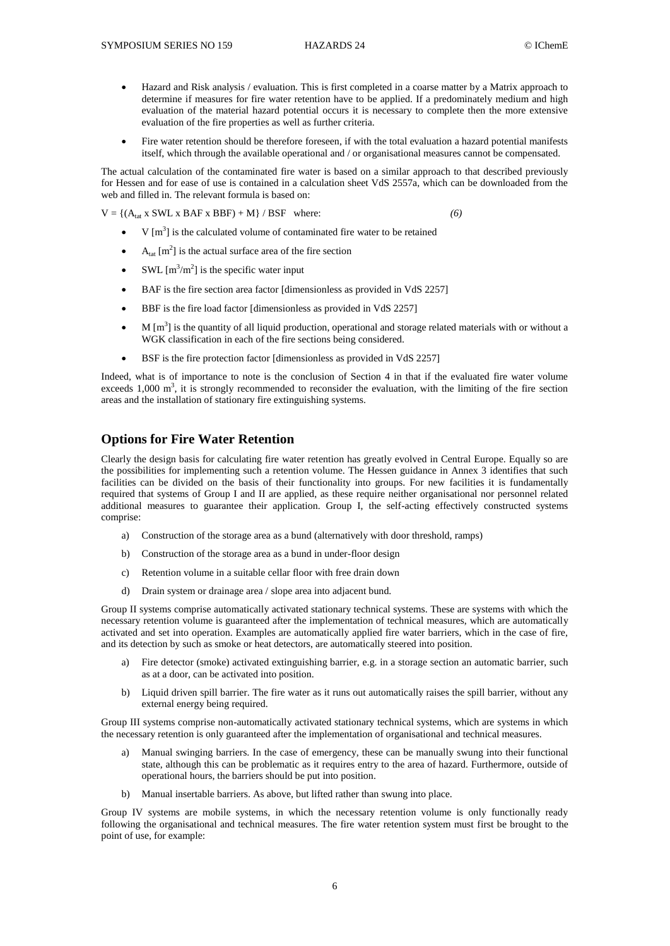- Hazard and Risk analysis / evaluation. This is first completed in a coarse matter by a Matrix approach to determine if measures for fire water retention have to be applied. If a predominately medium and high evaluation of the material hazard potential occurs it is necessary to complete then the more extensive evaluation of the fire properties as well as further criteria.
- Fire water retention should be therefore foreseen, if with the total evaluation a hazard potential manifests itself, which through the available operational and / or organisational measures cannot be compensated.

The actual calculation of the contaminated fire water is based on a similar approach to that described previously for Hessen and for ease of use is contained in a calculation sheet VdS 2557a, which can be downloaded from the web and filled in. The relevant formula is based on:

 $V = \{(A<sub>tar</sub> x SWL x BAF x BBF) + M\} / BSF where:$  (6)

- $\bullet$  V [m<sup>3</sup>] is the calculated volume of contaminated fire water to be retained
- $\bullet$  A<sub>tat</sub> [m<sup>2</sup>] is the actual surface area of the fire section
- SWL  $[m^3/m^2]$  is the specific water input
- BAF is the fire section area factor [dimensionless as provided in VdS 2257]
- BBF is the fire load factor [dimensionless as provided in VdS 2257]
- $\bullet$  M [m<sup>3</sup>] is the quantity of all liquid production, operational and storage related materials with or without a WGK classification in each of the fire sections being considered.
- BSF is the fire protection factor [dimensionless as provided in VdS 2257]

Indeed, what is of importance to note is the conclusion of Section 4 in that if the evaluated fire water volume exceeds 1,000  $\text{m}^3$ , it is strongly recommended to reconsider the evaluation, with the limiting of the fire section areas and the installation of stationary fire extinguishing systems.

## **Options for Fire Water Retention**

Clearly the design basis for calculating fire water retention has greatly evolved in Central Europe. Equally so are the possibilities for implementing such a retention volume. The Hessen guidance in Annex 3 identifies that such facilities can be divided on the basis of their functionality into groups. For new facilities it is fundamentally required that systems of Group I and II are applied, as these require neither organisational nor personnel related additional measures to guarantee their application. Group I, the self-acting effectively constructed systems comprise:

- a) Construction of the storage area as a bund (alternatively with door threshold, ramps)
- b) Construction of the storage area as a bund in under-floor design
- c) Retention volume in a suitable cellar floor with free drain down
- d) Drain system or drainage area / slope area into adjacent bund.

Group II systems comprise automatically activated stationary technical systems. These are systems with which the necessary retention volume is guaranteed after the implementation of technical measures, which are automatically activated and set into operation. Examples are automatically applied fire water barriers, which in the case of fire, and its detection by such as smoke or heat detectors, are automatically steered into position.

- a) Fire detector (smoke) activated extinguishing barrier, e.g. in a storage section an automatic barrier, such as at a door, can be activated into position.
- b) Liquid driven spill barrier. The fire water as it runs out automatically raises the spill barrier, without any external energy being required.

Group III systems comprise non-automatically activated stationary technical systems, which are systems in which the necessary retention is only guaranteed after the implementation of organisational and technical measures.

- a) Manual swinging barriers. In the case of emergency, these can be manually swung into their functional state, although this can be problematic as it requires entry to the area of hazard. Furthermore, outside of operational hours, the barriers should be put into position.
- b) Manual insertable barriers. As above, but lifted rather than swung into place.

Group IV systems are mobile systems, in which the necessary retention volume is only functionally ready following the organisational and technical measures. The fire water retention system must first be brought to the point of use, for example: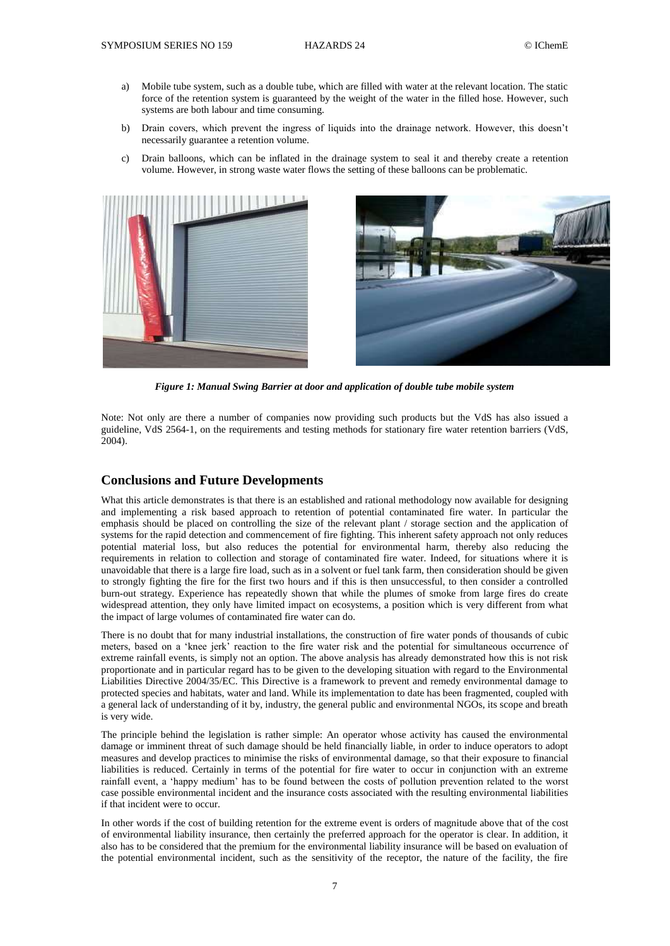- a) Mobile tube system, such as a double tube, which are filled with water at the relevant location. The static force of the retention system is guaranteed by the weight of the water in the filled hose. However, such systems are both labour and time consuming.
- b) Drain covers, which prevent the ingress of liquids into the drainage network. However, this doesn't necessarily guarantee a retention volume.
- c) Drain balloons, which can be inflated in the drainage system to seal it and thereby create a retention volume. However, in strong waste water flows the setting of these balloons can be problematic.





*Figure 1: Manual Swing Barrier at door and application of double tube mobile system*

Note: Not only are there a number of companies now providing such products but the VdS has also issued a guideline, VdS 2564-1, on the requirements and testing methods for stationary fire water retention barriers (VdS, 2004).

## **Conclusions and Future Developments**

What this article demonstrates is that there is an established and rational methodology now available for designing and implementing a risk based approach to retention of potential contaminated fire water. In particular the emphasis should be placed on controlling the size of the relevant plant / storage section and the application of systems for the rapid detection and commencement of fire fighting. This inherent safety approach not only reduces potential material loss, but also reduces the potential for environmental harm, thereby also reducing the requirements in relation to collection and storage of contaminated fire water. Indeed, for situations where it is unavoidable that there is a large fire load, such as in a solvent or fuel tank farm, then consideration should be given to strongly fighting the fire for the first two hours and if this is then unsuccessful, to then consider a controlled burn-out strategy. Experience has repeatedly shown that while the plumes of smoke from large fires do create widespread attention, they only have limited impact on ecosystems, a position which is very different from what the impact of large volumes of contaminated fire water can do.

There is no doubt that for many industrial installations, the construction of fire water ponds of thousands of cubic meters, based on a 'knee jerk' reaction to the fire water risk and the potential for simultaneous occurrence of extreme rainfall events, is simply not an option. The above analysis has already demonstrated how this is not risk proportionate and in particular regard has to be given to the developing situation with regard to the Environmental Liabilities Directive 2004/35/EC. This Directive is a framework to prevent and remedy environmental damage to protected species and habitats, water and land. While its implementation to date has been fragmented, coupled with a general lack of understanding of it by, industry, the general public and environmental NGOs, its scope and breath is very wide.

The principle behind the legislation is rather simple: An operator whose activity has caused the environmental damage or imminent threat of such damage should be held financially liable, in order to induce operators to adopt measures and develop practices to minimise the risks of environmental damage, so that their exposure to financial liabilities is reduced. Certainly in terms of the potential for fire water to occur in conjunction with an extreme rainfall event, a 'happy medium' has to be found between the costs of pollution prevention related to the worst case possible environmental incident and the insurance costs associated with the resulting environmental liabilities if that incident were to occur.

In other words if the cost of building retention for the extreme event is orders of magnitude above that of the cost of environmental liability insurance, then certainly the preferred approach for the operator is clear. In addition, it also has to be considered that the premium for the environmental liability insurance will be based on evaluation of the potential environmental incident, such as the sensitivity of the receptor, the nature of the facility, the fire